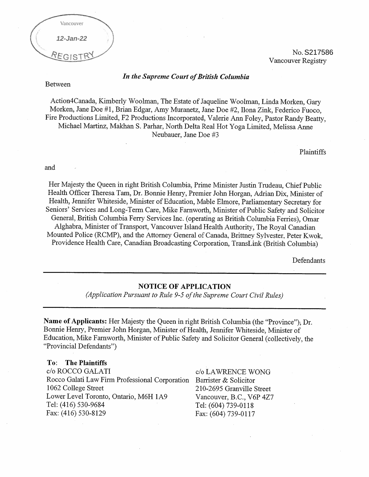

No. S217586 Vancouver Registry

## In the Supreme Court of British Columbia

Between

Action4Canada, Kimberly Woolman, The Estate of Jaqueline Woolman, Linda Morken, Gary Morken, Jane Doe #1, Brian Edgar, Amy Muranetz, Jane Doe #2, Ilona Zink, Federico Fuoco, Fire Productions Limited, F2 Productions Incorporated, Valerie Ann Foley, Pastor Randy Beatty, Michael Martinz, Makhan S. Parhar, North Delta Real Hot Yoga Limited, Melissa Anne Neubauer, Jane Doe #3

Plaintiffs

and

Her Majesty the Queen in right British Columbia, Prime Minister Justin Trudeau, Chief Public Health Officer Theresa Tam, Dr. Bonnie Henry, Premier John Horgan, Adrian Dix, Minister of Health, Jennifer Whiteside, Minister of Education, Mable Elmore, Parliamentary Secretary for Seniors' Services and Long-Term Care, Mike Farnworth, Minister of Public Safety and Solicitor General, British Columbia Ferry Services Inc. (operating as British Columbia Ferries), Omar Alghabra, Minister of Transport, Vancouver Island Health Authority, The Royal Canadian Mounted Police (RCMP), and the Attorney General of Canada, Brittney Sylvester, Peter Kwok, Providence Health Care, Canadian Broadcasting Corporation, TransLink (British Columbia)

Defendants

#### **NOTICE OF APPLICATION**

(Application Pursuant to Rule 9-5 of the Supreme Court Civil Rules)

Name of Applicants: Her Majesty the Queen in right British Columbia (the "Province"); Dr. Bonnie Henry, Premier John Horgan, Minister of Health, Jennifer Whiteside, Minister of Education, Mike Farnworth, Minister of Public Safety and Solicitor General (collectively, the "Provincial Defendants")

#### **The Plaintiffs**  $To:$

c/o ROCCO GALATI Rocco Galati Law Firm Professional Corporation 1062 College Street Lower Level Toronto, Ontario, M6H 1A9 Tel: (416) 530-9684 Fax: (416) 530-8129

c/o LAWRENCE WONG Barrister & Solicitor 210-2695 Granville Street Vancouver, B.C., V6P 4Z7 Tel: (604) 739-0118 Fax: (604) 739-0117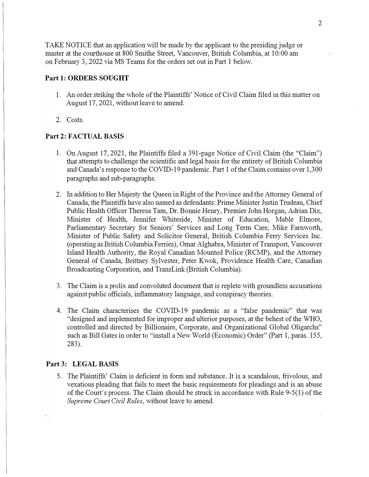TAKE NOTICE that an application will be made by the applicant to the presiding judge or master at the courthouse at 800 Smithe Street, Vancouver, British Columbia, at 10:00 am on February 3, 2022 via MS Teams for the orders set out in Part 1 below.

# Part 1: ORDERS SOUGHT

- 1. An order striking the whole of the Plaintiffs' Notice of Civil Claim filed in this matter on August 17, 2021, without leave to amend.
- 2. Costs.

# **Part 2: FACTUAL BASIS**

- 1. On August 17, 2021, the Plaintiffs filed a 391-page Notice of Civil Claim (the "Claim") that attempts to challenge the scientific and legal basis for the entirety of British Columbia and Canada's response to the COVID-19 pandemic. Part 1 of the Claim contains over 1,300 paragraphs and sub-paragraphs.
- 2. In addition to Her Majesty the Queen in Right of the Province and the Attorney General of Canada, the Plaintiffs have also named as defendants: Prime Minister Justin Trudeau, Chief Public Health Officer Theresa Tam, Dr. Bonnie Henry, Premier John Horgan, Adrian Dix, Minister of Health, Jennifer Whiteside, Minister of Education, Mable Elmore, Parliamentary Secretary for Seniors' Services and Long Term Care, Mike Farnworth, Minister of Public Safety and Solicitor General, British Columbia Ferry Services Inc. ( operating as British Columbia Ferries), Omar Alghabra, Minister of Transport, Vancouver Island Health Authority, the Royal Canadian Mounted Police (RCMP), and the Attorney General of Canada, Brittney Sylvester, Peter Kwok, Providence Health Care, Canadian Broadcasting Corporation, and TransLink (British Columbia).
- 3. The Claim is a prolix and convoluted document that is replete with groundless accusations against public officials, inflammatory language, and conspiracy theories.
- 4. The Claim characterises the COVID-19 pandemic as a "false pandemic" that was "designed and implemented for improper and ulterior purposes, at the behest of the WHO, controlled and directed by Billionaire, Corporate, and Organizational Global Oligarchs" such as Bill Gates in order to "install a New World (Economic) Order" (Part 1, paras. 155, 283).

#### **Part 3: LEGAL BASIS**

 $\mathcal{L}$ 

5. The Plaintiffs' Claim is deficient in form and substance. It is a scandalous, frivolous, and vexatious pleading that fails to meet the basic requirements for pleadings and is an abuse of the Court's process. The Claim should be struck in accordance with Rule 9-5(1) of the *Supreme Court Civil Rules,* without leave to amend.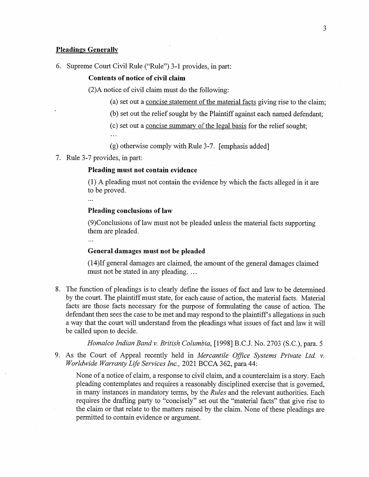## **Pleadings Generally**

6. Supreme Court Civil Rule ("Rule") 3-1 provides, in part:

#### Contents of notice of civil claim

(2) A notice of civil claim must do the following:

(a) set out a concise statement of the material facts giving rise to the claim;

(b) set out the relief sought by the Plaintiff against each named defendant;

(c) set out a concise summary of the legal basis for the relief sought;

 $\mathbf{r}$ 

(g) otherwise comply with Rule 3-7. [emphasis added]

7. Rule 3-7 provides, in part:

## Pleading must not contain evidence

(1) A pleading must not contain the evidence by which the facts alleged in it are to be proved.

 $\ddotsc$ 

# Pleading conclusions of law

(9) Conclusions of law must not be pleaded unless the material facts supporting them are pleaded.

#### General damages must not be pleaded

(14) If general damages are claimed, the amount of the general damages claimed must not be stated in any pleading....

8. The function of pleadings is to clearly define the issues of fact and law to be determined by the court. The plaintiff must state, for each cause of action, the material facts. Material facts are those facts necessary for the purpose of formulating the cause of action. The defendant then sees the case to be met and may respond to the plaintiff's allegations in such a way that the court will understand from the pleadings what issues of fact and law it will be called upon to decide.

Homalco Indian Band v. British Columbia, [1998] B.C.J. No. 2703 (S.C.), para. 5

9. As the Court of Appeal recently held in Mercantile Office Systems Private Ltd. v. Worldwide Warranty Life Services Inc., 2021 BCCA 362, para 44:

None of a notice of claim, a response to civil claim, and a counterclaim is a story. Each pleading contemplates and requires a reasonably disciplined exercise that is governed, in many instances in mandatory terms, by the *Rules* and the relevant authorities. Each requires the drafting party to "concisely" set out the "material facts" that give rise to the claim or that relate to the matters raised by the claim. None of these pleadings are permitted to contain evidence or argument.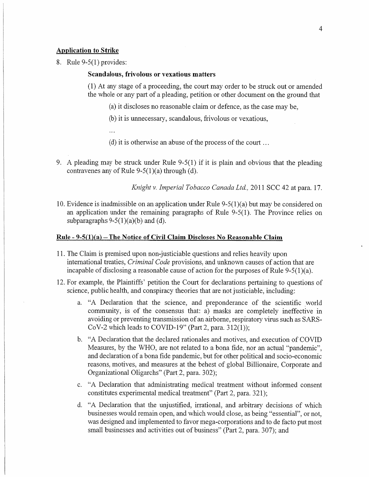#### **Application to Strike**

8. Rule  $9-5(1)$  provides:

#### Scandalous, frivolous or vexatious matters

(1) At any stage of a proceeding, the court may order to be struck out or amended the whole or any part of a pleading, petition or other document on the ground that

- (a) it discloses no reasonable claim or defence, as the case may be,
- (b) it is unnecessary, scandalous, frivolous or vexatious,
- $\dddot{\phantom{0}}$
- (d) it is otherwise an abuse of the process of the court ...
- 9. A pleading may be struck under Rule 9-5(1) if it is plain and obvious that the pleading contravenes any of Rule 9-5(1)(a) through (d).

Knight v. Imperial Tobacco Canada Ltd., 2011 SCC 42 at para. 17.

10. Evidence is inadmissible on an application under Rule  $9-5(1)(a)$  but may be considered on an application under the remaining paragraphs of Rule  $9-5(1)$ . The Province relies on subparagraphs  $9-5(1)(a)(b)$  and (d).

## <u> Rule - 9-5(1)(a) – The Notice of Civil Claim Discloses No Reasonable Claim</u>

- 11. The Claim is premised upon non-justiciable questions and relies heavily upon international treaties, *Criminal Code* provisions, and unknown causes of action that are incapable of disclosing a reasonable cause of action for the purposes of Rule  $9-5(1)(a)$ .
- 12. For example, the Plaintiffs' petition the Court for declarations pertaining to questions of science, public health, and conspiracy theories that are not justiciable, including:
	- a. "A Declaration that the science, and preponderance of the scientific world community, is of the consensus that: a) masks are completely ineffective in avoiding or preventing transmission of an airborne, respiratory virus such as SARS-CoV-2 which leads to COVID-19" (Part 2, para.  $312(1)$ );
	- b. "A Declaration that the declared rationales and motives, and execution of COVID Measures, by the WHO, are not related to a bona fide, nor an actual "pandemic", and declaration of a bona fide pandemic, but for other political and socio-economic reasons, motives, and measures at the behest of global Billionaire, Corporate and Organizational Oligarchs" (Part 2, para. 302);
	- c. "A Declaration that administrating medical treatment without informed consent constitutes experimental medical treatment" (Part 2, para. 321);
	- d. "A Declaration that the unjustified, irrational, and arbitrary decisions of which businesses would remain open, and which would close, as being "essential", or not, was designed and implemented to favor mega-corporations and to de facto put most small businesses and activities out of business" (Part 2, para. 307); and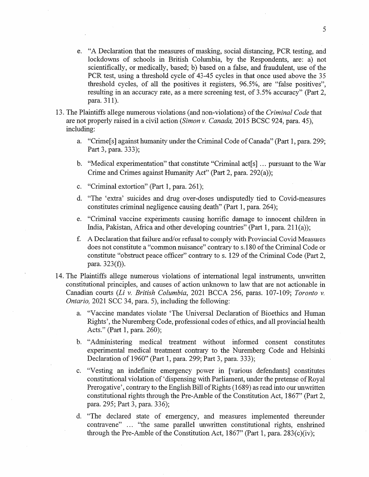- e. "A Declaration that the measures of masking, social distancing, PCR testing, and lockdowns of schools in British Columbia, by the Respondents, are: a) not scientifically, or medically, based; b) based on a false, and fraudulent, use of the PCR test, using a threshold cycle of 43-45 cycles in that once used above the 35 threshold cycles, of all the positives it registers, 96.5%, are "false positives", resulting in an accuracy rate, as a mere screening test, of 3.5% accuracy" (Part 2, para. 311).
- 13. The Plaintiffs allege numerous violations (and non-violations) of the *Criminal Code* that are not properly raised in a civil action (Simon v. Canada, 2015 BCSC 924, para. 45), including:
	- a. "Crime[s] against humanity under the Criminal Code of Canada" (Part 1, para. 299; Part 3, para. 333);
	- b. "Medical experimentation" that constitute "Criminal act[s] ... pursuant to the War Crime and Crimes against Humanity Act" (Part 2, para. 292(a));
	- "Criminal extortion" (Part 1, para. 261);  $\mathbf{C}$ .
	- d. "The 'extra' suicides and drug over-doses undisputedly tied to Covid-measures constitutes criminal negligence causing death" (Part 1, para. 264);
	- e. "Criminal vaccine experiments causing horrific damage to innocent children in India, Pakistan, Africa and other developing countries" (Part 1, para. 211(a));
	- $f<sub>r</sub>$ A Declaration that failure and/or refusal to comply with Provincial Covid Measures does not constitute a "common nuisance" contrary to s.180 of the Criminal Code or constitute "obstruct peace officer" contrary to s. 129 of the Criminal Code (Part 2, para.  $323(f)$ ).
- 14. The Plaintiffs allege numerous violations of international legal instruments, unwritten constitutional principles, and causes of action unknown to law that are not actionable in Canadian courts (Li v. British Columbia, 2021 BCCA 256, paras. 107-109; Toronto v. *Ontario*, 2021 SCC 34, para. 5), including the following:
	- a. "Vaccine mandates violate 'The Universal Declaration of Bioethics and Human Rights', the Nuremberg Code, professional codes of ethics, and all provincial health Acts." (Part 1, para. 260);
	- b. "Administering medical treatment without informed consent constitutes experimental medical treatment contrary to the Nuremberg Code and Helsinki Declaration of 1960" (Part 1, para. 299; Part 3, para. 333);
	- "Vesting an indefinite emergency power in [various defendants] constitutes  $c.$ constitutional violation of 'dispensing with Parliament, under the pretense of Royal Prerogative', contrary to the English Bill of Rights (1689) as read into our unwritten constitutional rights through the Pre-Amble of the Constitution Act, 1867" (Part 2, para. 295; Part 3, para. 336);
	- d. "The declared state of emergency, and measures implemented thereunder contravene" ... "the same parallel unwritten constitutional rights, enshrined through the Pre-Amble of the Constitution Act, 1867" (Part 1, para.  $283(c)(iv)$ ;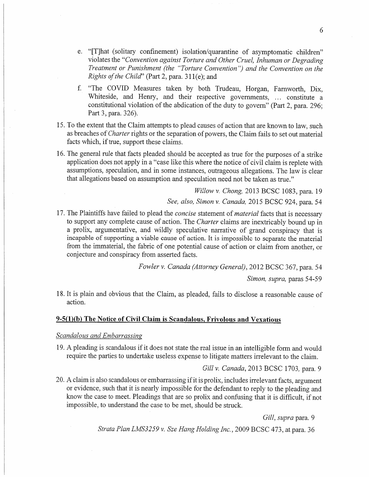- e. "[T]hat (solitary confinement) isolation/quarantine of asymptomatic children" violates the "Convention against Torture and Other Cruel, Inhuman or Degrading Treatment or Punishment (the "Torture Convention") and the Convention on the Rights of the Child" (Part 2, para. 311(e); and
- "The COVID Measures taken by both Trudeau, Horgan, Farnworth, Dix,  $f_{\cdot}$ Whiteside, and Henry, and their respective governments, ... constitute a constitutional violation of the abdication of the duty to govern" (Part 2, para. 296; Part 3, para. 326).
- 15. To the extent that the Claim attempts to plead causes of action that are known to law, such as breaches of *Charter* rights or the separation of powers, the Claim fails to set out material facts which, if true, support these claims.
- 16. The general rule that facts pleaded should be accepted as true for the purposes of a strike application does not apply in a "case like this where the notice of civil claim is replete with assumptions, speculation, and in some instances, outrageous allegations. The law is clear that allegations based on assumption and speculation need not be taken as true."

Willow v. Chong, 2013 BCSC 1083, para. 19

See, also, Simon v. Canada, 2015 BCSC 924, para. 54

17. The Plaintiffs have failed to plead the concise statement of material facts that is necessary to support any complete cause of action. The Charter claims are inextricably bound up in a prolix, argumentative, and wildly speculative narrative of grand conspiracy that is incapable of supporting a viable cause of action. It is impossible to separate the material from the immaterial, the fabric of one potential cause of action or claim from another, or conjecture and conspiracy from asserted facts.

Fowler v. Canada (Attorney General), 2012 BCSC 367, para, 54

Simon, supra, paras 54-59

18. It is plain and obvious that the Claim, as pleaded, fails to disclose a reasonable cause of action.

# 9-5(1)(b) The Notice of Civil Claim is Scandalous, Frivolous and Vexatious

# Scandalous and Embarrassing

19. A pleading is scandalous if it does not state the real issue in an intelligible form and would require the parties to undertake useless expense to litigate matters irrelevant to the claim.

Gill v. Canada, 2013 BCSC 1703, para. 9

20. A claim is also scandalous or embarrassing if it is prolix, includes irrelevant facts, argument or evidence, such that it is nearly impossible for the defendant to reply to the pleading and know the case to meet. Pleadings that are so prolix and confusing that it is difficult, if not impossible, to understand the case to be met, should be struck.

Gill, supra para. 9

Strata Plan LMS3259 v. Sze Hang Holding Inc., 2009 BCSC 473, at para, 36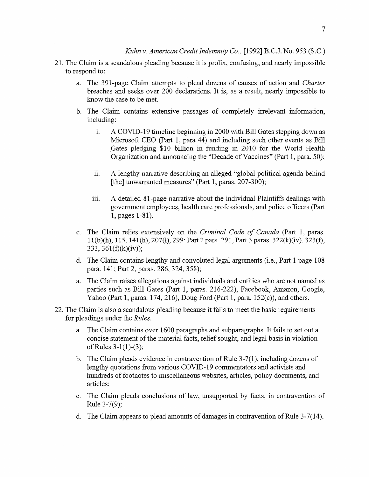- 21. The Claim is a scandalous pleading because it is prolix, confusing, and nearly impossible to respond to:
	- a. The 391-page Claim attempts to plead dozens of causes of action and Charter breaches and seeks over 200 declarations. It is, as a result, nearly impossible to know the case to be met.
	- b. The Claim contains extensive passages of completely irrelevant information, including:
		- A COVID-19 timeline beginning in 2000 with Bill Gates stepping down as  $\mathbf{i}$ . Microsoft CEO (Part 1, para 44) and including such other events as Bill Gates pledging \$10 billion in funding in 2010 for the World Health Organization and announcing the "Decade of Vaccines" (Part 1, para. 50);
		- A lengthy narrative describing an alleged "global political agenda behind  $ii.$ [the] unwarranted measures" (Part 1, paras. 207-300);
		- iii. A detailed 81-page narrative about the individual Plaintiffs dealings with government employees, health care professionals, and police officers (Part 1, pages 1-81).
	- c. The Claim relies extensively on the Criminal Code of Canada (Part 1, paras. 11(b)(h), 115, 141(h), 207(l), 299; Part 2 para. 291, Part 3 paras. 322(k)(iv), 323(f), 333, 361(f)(k)(iv));
	- d. The Claim contains lengthy and convoluted legal arguments (i.e., Part 1 page 108 para. 141; Part 2, paras. 286, 324, 358);
	- a. The Claim raises allegations against individuals and entities who are not named as parties such as Bill Gates (Part 1, paras. 216-222), Facebook, Amazon, Google, Yahoo (Part 1, paras. 174, 216), Doug Ford (Part 1, para. 152(c)), and others.
- 22. The Claim is also a scandalous pleading because it fails to meet the basic requirements for pleadings under the *Rules*.
	- a. The Claim contains over 1600 paragraphs and subparagraphs. It fails to set out a concise statement of the material facts, relief sought, and legal basis in violation of Rules  $3-1(1)-(3)$ ;
	- b. The Claim pleads evidence in contravention of Rule  $3-7(1)$ , including dozens of lengthy quotations from various COVID-19 commentators and activists and hundreds of footnotes to miscellaneous websites, articles, policy documents, and articles;
	- c. The Claim pleads conclusions of law, unsupported by facts, in contravention of Rule  $3-7(9)$ ;
	- d. The Claim appears to plead amounts of damages in contravention of Rule 3-7(14).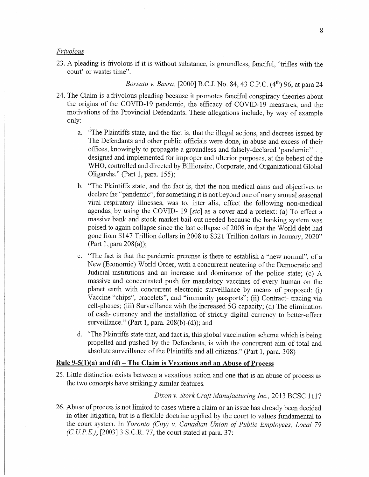#### Frivolous

23. A pleading is frivolous if it is without substance, is groundless, fanciful, 'trifles with the court' or wastes time".

Borsato v. Basra, [2000] B.C.J. No. 84, 43 C.P.C. (4<sup>th</sup>) 96, at para 24

- 24. The Claim is a frivolous pleading because it promotes fanciful conspiracy theories about the origins of the COVID-19 pandemic, the efficacy of COVID-19 measures, and the motivations of the Provincial Defendants. These allegations include, by way of example only:
	- "The Plaintiffs state, and the fact is, that the illegal actions, and decrees issued by a. The Defendants and other public officials were done, in abuse and excess of their offices, knowingly to propagate a groundless and falsely-declared 'pandemic''... designed and implemented for improper and ulterior purposes, at the behest of the WHO, controlled and directed by Billionaire, Corporate, and Organizational Global Oligarchs." (Part 1, para. 155);
	- "The Plaintiffs state, and the fact is, that the non-medical aims and objectives to  $\mathbf{b}$ . declare the "pandemic", for something it is not beyond one of many annual seasonal viral respiratory illnesses, was to, inter alia, effect the following non-medical agendas, by using the COVID-19 [sic] as a cover and a pretext: (a) To effect a massive bank and stock market bail-out needed because the banking system was poised to again collapse since the last collapse of 2008 in that the World debt had gone from \$147 Trillion dollars in 2008 to \$321 Trillion dollars in January, 2020" (Part 1, para  $208(a)$ );
	- "The fact is that the pandemic pretense is there to establish a "new normal", of a  $c_{\star}$ New (Economic) World Order, with a concurrent neutering of the Democratic and Judicial institutions and an increase and dominance of the police state; (c) A massive and concentrated push for mandatory vaccines of every human on the planet earth with concurrent electronic surveillance by means of proposed: (i) Vaccine "chips", bracelets", and "immunity passports"; (ii) Contract- tracing via cell-phones; (iii) Surveillance with the increased 5G capacity; (d) The elimination of cash-currency and the installation of strictly digital currency to better-effect surveillance." (Part 1, para.  $208(b)-(d)$ ); and
	- d. "The Plaintiffs state that, and fact is, this global vaccination scheme which is being propelled and pushed by the Defendants, is with the concurrent aim of total and absolute surveillance of the Plaintiffs and all citizens." (Part 1, para. 308)

## Rule 9-5(1)(a) and (d) – The Claim is Vexatious and an Abuse of Process

25. Little distinction exists between a vexatious action and one that is an abuse of process as the two concepts have strikingly similar features.

#### Dixon v. Stork Craft Manufacturing Inc., 2013 BCSC 1117

26. Abuse of process is not limited to cases where a claim or an issue has already been decided in other litigation, but is a flexible doctrine applied by the court to values fundamental to the court system. In Toronto (City) v. Canadian Union of Public Employees, Local 79  $(C.U.P.E.)$ , [2003] 3 S.C.R. 77, the court stated at para. 37: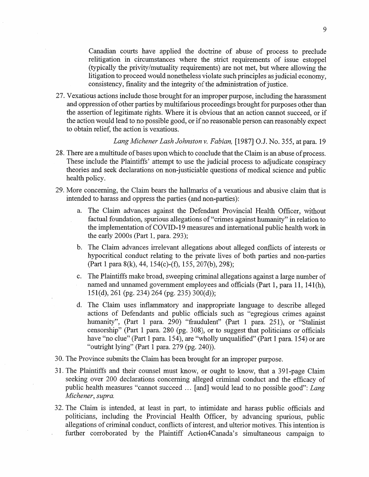Canadian courts have applied the doctrine of abuse of process to preclude relitigation in circumstances where the strict requirements of issue estoppel (typically the privity/mutuality requirements) are not met, but where allowing the litigation to proceed would nonetheless violate such principles as judicial economy, consistency, finality and the integrity of the administration of justice.

27. Vexatious actions include those brought for an improper purpose, including the harassment and oppression of other parties by multifarious proceedings brought for purposes other than the assertion of legitimate rights. Where it is obvious that an action cannot succeed, or if the action would lead to no possible good, or if no reasonable person can reasonably expect to obtain relief, the action is vexatious.

Lang Michener Lash Johnston v. Fabian, [1987] O.J. No. 355, at para. 19

- 28. There are a multitude of bases upon which to conclude that the Claim is an abuse of process. These include the Plaintiffs' attempt to use the judicial process to adjudicate conspiracy theories and seek declarations on non-justiciable questions of medical science and public health policy.
- 29. More concerning, the Claim bears the hallmarks of a vexatious and abusive claim that is intended to harass and oppress the parties (and non-parties):
	- a. The Claim advances against the Defendant Provincial Health Officer, without factual foundation, spurious allegations of "crimes against humanity" in relation to the implementation of COVID-19 measures and international public health work in the early 2000s (Part 1, para. 293);
	- b. The Claim advances irrelevant allegations about alleged conflicts of interests or hypocritical conduct relating to the private lives of both parties and non-parties (Part 1 para 8(k), 44, 154(c)-(f), 155, 207(b), 298);
	- The Plaintiffs make broad, sweeping criminal allegations against a large number of  $c_{\cdot}$ named and unnamed government employees and officials (Part 1, para 11, 141(h),  $151(d)$ , 261 (pg. 234) 264 (pg. 235) 300(d));
	- d. The Claim uses inflammatory and inappropriate language to describe alleged actions of Defendants and public officials such as "egregious crimes against humanity", (Part 1 para. 290) "fraudulent" (Part 1 para. 251), or "Stalinist censorship" (Part 1 para. 280 (pg. 308), or to suggest that politicians or officials have "no clue" (Part 1 para. 154), are "wholly unqualified" (Part 1 para. 154) or are "outright lying" (Part 1 para. 279 (pg. 240)).
- 30. The Province submits the Claim has been brought for an improper purpose.
- 31. The Plaintiffs and their counsel must know, or ought to know, that a 391-page Claim seeking over 200 declarations concerning alleged criminal conduct and the efficacy of public health measures "cannot succeed ... [and] would lead to no possible good": Lang Michener, supra.
- 32. The Claim is intended, at least in part, to intimidate and harass public officials and politicians, including the Provincial Health Officer, by advancing spurious, public allegations of criminal conduct, conflicts of interest, and ulterior motives. This intention is further corroborated by the Plaintiff Action4Canada's simultaneous campaign to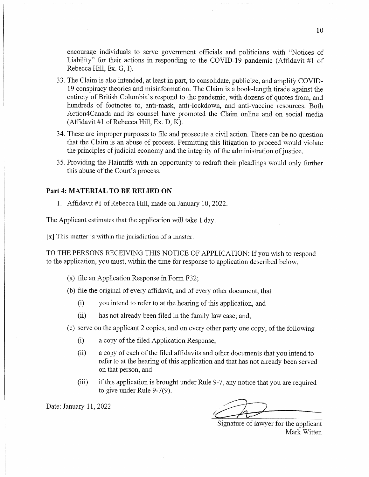encourage individuals to serve government officials and politicians with "Notices of Liability" for their actions in responding to the COVID-19 pandemic (Affidavit #1 of Rebecca Hill, Ex. G, I).

- 33. The Claim is also intended, at least in part, to consolidate, publicize, and amplify COVID-19 conspiracy theories and misinformation. The Claim is a book-length tirade against the entirety of British Columbia's respond to the pandemic, with dozens of quotes from, and hundreds of footnotes to, anti-mask, anti-lockdown, and anti-vaccine resources. Both Action4Canada and its counsel have promoted the Claim online and on social media (Affidavit #1 of Rebecca Hill, Ex. D, K).
- 34. These are improper purposes to file and prosecute a civil action. There can be no question that the Claim is an abuse of process. Permitting this litigation to proceed would violate the principles of judicial economy and the integrity of the administration of justice.
- 35. Providing the Plaintiffs with an opportunity to redraft their pleadings would only further this abuse of the Court's process.

## Part 4: MATERIAL TO BE RELIED ON

1. Affidavit #1 of Rebecca Hill, made on January 10, 2022.

The Applicant estimates that the application will take 1 day.

[x] This matter is within the jurisdiction of a master.

TO THE PERSONS RECEIVING THIS NOTICE OF APPLICATION: If you wish to respond to the application, you must, within the time for response to application described below,

- (a) file an Application Response in Form F32;
- (b) file the original of every affidavit, and of every other document, that
	- $(i)$ you intend to refer to at the hearing of this application, and
	- $(ii)$ has not already been filed in the family law case; and,
- (c) serve on the applicant 2 copies, and on every other party one copy, of the following
	- $(i)$ a copy of the filed Application Response,
	- $(ii)$ a copy of each of the filed affidavits and other documents that you intend to refer to at the hearing of this application and that has not already been served on that person, and
	- $(iii)$ if this application is brought under Rule 9-7, any notice that you are required to give under Rule  $9-7(9)$ .

Date: January 11, 2022

Signature of lawyer for the applicant Mark Witten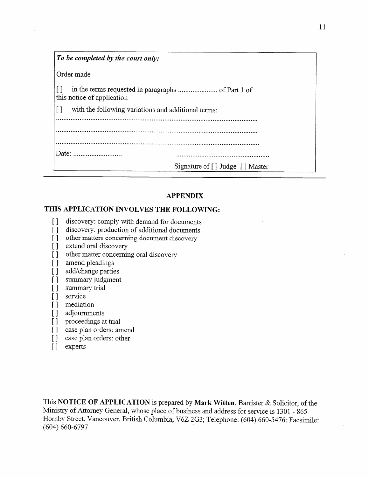| To be completed by the court only:                            |
|---------------------------------------------------------------|
| Order made                                                    |
| this notice of application                                    |
| with the following variations and additional terms:<br>$\Box$ |
|                                                               |
|                                                               |
|                                                               |
| Signature of [] Judge [] Master                               |

# **APPENDIX**

# THIS APPLICATION INVOLVES THE FOLLOWING:

- $\lceil$ discovery: comply with demand for documents
- discovery: production of additional documents  $\lceil$
- other matters concerning document discovery  $\begin{array}{c} \square \end{array}$
- extend oral discovery  $\lceil \rceil$
- other matter concerning oral discovery  $\left[\right]$
- amend pleadings  $\Box$
- $\Box$ add/change parties
- summary judgment  $\lceil \rceil$
- summary trial  $\prod$
- service  $\lceil \rceil$
- mediation  $\Box$
- adjournments  $\Box$
- proceedings at trial  $\Box$
- case plan orders: amend  $\Box$
- case plan orders: other  $\Box$
- experts  $\begin{array}{c} \square \end{array}$

This NOTICE OF APPLICATION is prepared by Mark Witten, Barrister & Solicitor, of the Ministry of Attorney General, whose place of business and address for service is 1301 - 865 Hornby Street, Vancouver, British Columbia, V6Z 2G3; Telephone: (604) 660-5476; Facsimile:  $(604) 660 - 6797$